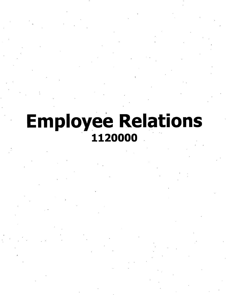## **Employee Relations** 1120000